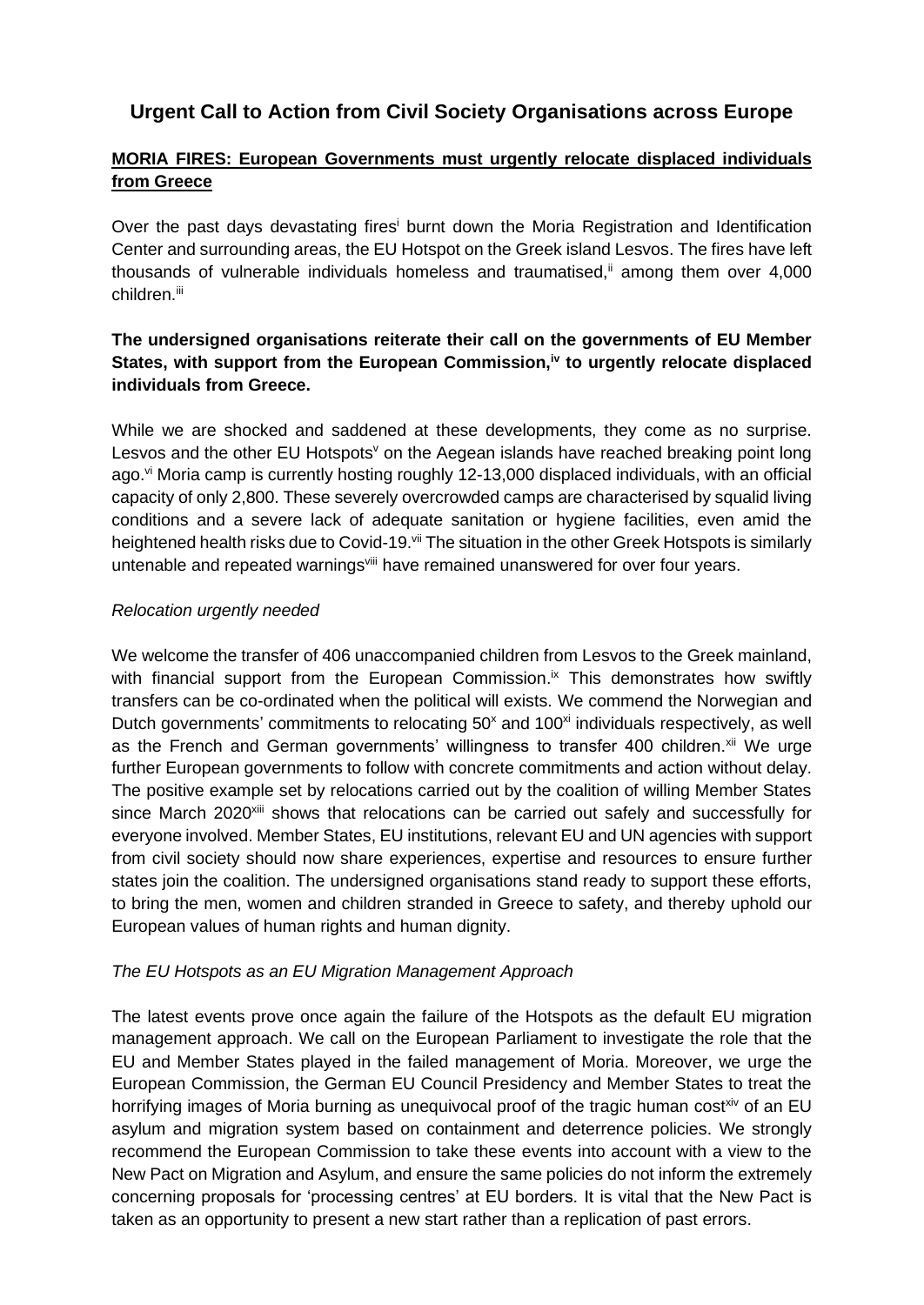# **Urgent Call to Action from Civil Society Organisations across Europe**

## **MORIA FIRES: European Governments must urgently relocate displaced individuals from Greece**

Over the past days devastating fires<sup>i</sup> burnt down the Moria Registration and Identification Center and surrounding areas, the EU Hotspot on the Greek island Lesvos. The fires have left thousands of vulnerable individuals homeless and traumatised, $\ddot{u}$  among them over 4,000 children.<sup>iii</sup>

### **The undersigned organisations reiterate their call on the governments of EU Member States, with support from the European Commission,iv to urgently relocate displaced individuals from Greece.**

While we are shocked and saddened at these developments, they come as no surprise. Lesvos and the other EU Hotspots $\theta$  on the Aegean islands have reached breaking point long ago. $\mathrm{v}$  Moria camp is currently hosting roughly 12-13,000 displaced individuals, with an official capacity of only 2,800. These severely overcrowded camps are characterised by squalid living conditions and a severe lack of adequate sanitation or hygiene facilities, even amid the heightened health risks due to Covid-19.<sup>vii</sup> The situation in the other Greek Hotspots is similarly untenable and repeated warnings<sup>viii</sup> have remained unanswered for over four years.

#### *Relocation urgently needed*

We welcome the transfer of 406 unaccompanied children from Lesvos to the Greek mainland, with financial support from the European Commission. $\mu$  This demonstrates how swiftly transfers can be co-ordinated when the political will exists. We commend the Norwegian and Dutch governments' commitments to relocating  $50<sup>x</sup>$  and  $100<sup>x<sub>i</sub></sup>$  individuals respectively, as well as the French and German governments' willingness to transfer 400 children.<sup>xii</sup> We urge further European governments to follow with concrete commitments and action without delay. The positive example set by relocations carried out by the coalition of willing Member States since March 2020<sup>xiii</sup> shows that relocations can be carried out safely and successfully for everyone involved. Member States, EU institutions, relevant EU and UN agencies with support from civil society should now share experiences, expertise and resources to ensure further states join the coalition. The undersigned organisations stand ready to support these efforts, to bring the men, women and children stranded in Greece to safety, and thereby uphold our European values of human rights and human dignity.

#### *The EU Hotspots as an EU Migration Management Approach*

The latest events prove once again the failure of the Hotspots as the default EU migration management approach. We call on the European Parliament to investigate the role that the EU and Member States played in the failed management of Moria. Moreover, we urge the European Commission, the German EU Council Presidency and Member States to treat the horrifying images of Moria burning as unequivocal proof of the tragic human cost<sup>xiv</sup> of an EU asylum and migration system based on containment and deterrence policies. We strongly recommend the European Commission to take these events into account with a view to the New Pact on Migration and Asylum, and ensure the same policies do not inform the extremely concerning proposals for 'processing centres' at EU borders. It is vital that the New Pact is taken as an opportunity to present a new start rather than a replication of past errors.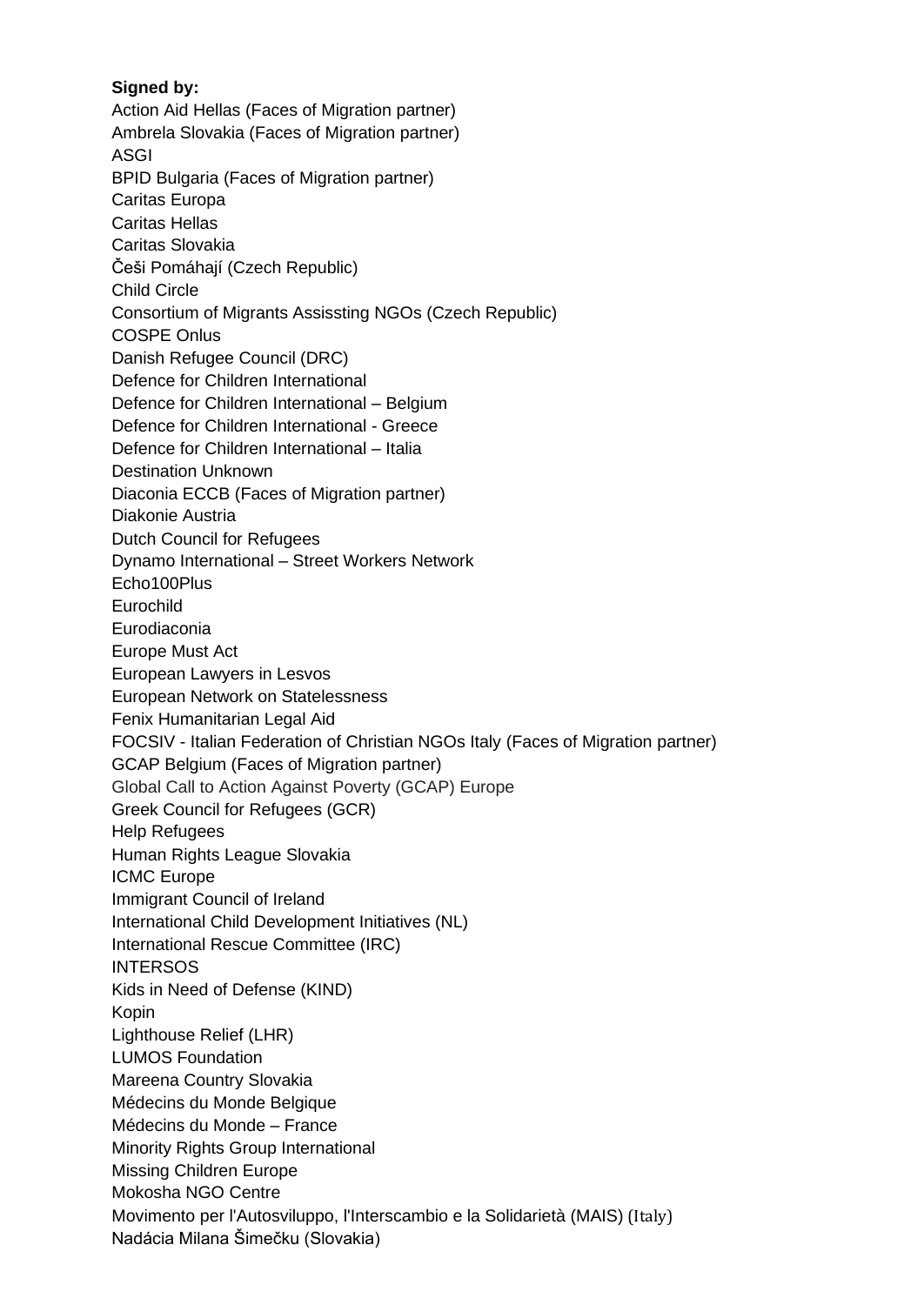#### **Signed by:**

Action Aid Hellas (Faces of Migration partner) Ambrela Slovakia (Faces of Migration partner) ASGI BPID Bulgaria (Faces of Migration partner) Caritas Europa Caritas Hellas Caritas Slovakia Češi Pomáhají (Czech Republic) Child Circle Consortium of Migrants Assissting NGOs (Czech Republic) COSPE Onlus Danish Refugee Council (DRC) Defence for Children International Defence for Children International – Belgium Defence for Children International - Greece Defence for Children International – Italia Destination Unknown Diaconia ECCB (Faces of Migration partner) Diakonie Austria Dutch Council for Refugees Dynamo International – Street Workers Network Echo100Plus Eurochild Eurodiaconia Europe Must Act European Lawyers in Lesvos European Network on Statelessness Fenix Humanitarian Legal Aid FOCSIV - Italian Federation of Christian NGOs Italy (Faces of Migration partner) GCAP Belgium (Faces of Migration partner) Global Call to Action Against Poverty (GCAP) Europe Greek Council for Refugees (GCR) Help Refugees Human Rights League Slovakia ICMC Europe Immigrant Council of Ireland International Child Development Initiatives (NL) International Rescue Committee (IRC) **INTERSOS** Kids in Need of Defense (KIND) Kopin Lighthouse Relief (LHR) LUMOS Foundation Mareena Country Slovakia Médecins du Monde Belgique Médecins du Monde – France **Minority Rights Group International** Missing Children Europe Mokosha NGO Centre Movimento per l'Autosviluppo, l'Interscambio e la Solidarietà (MAIS) (Italy) Nadácia Milana Šimečku (Slovakia)